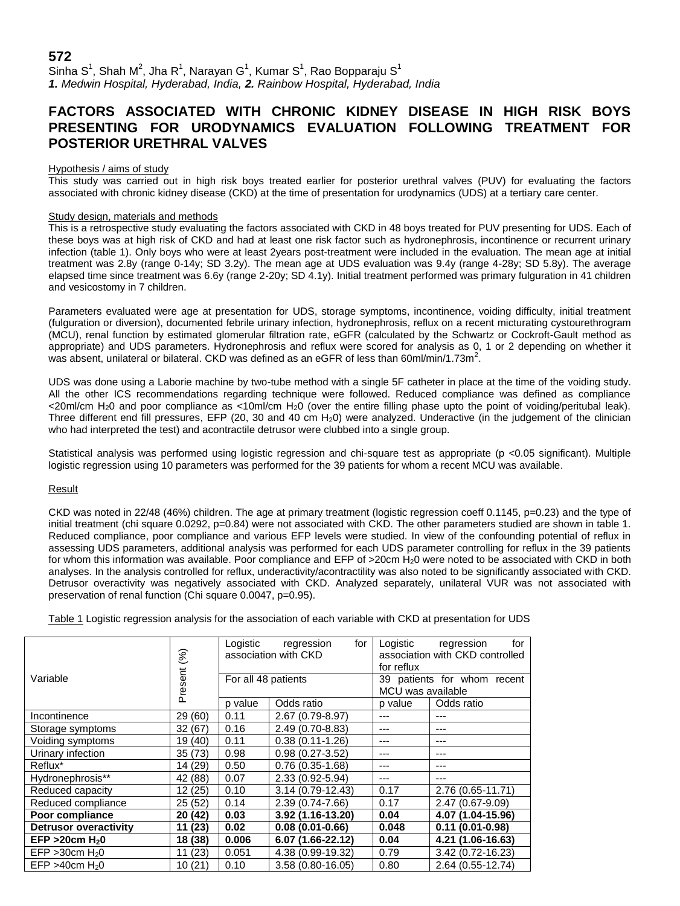# **572**

Sinha S $^1$ , Shah M $^2$ , Jha R $^1$ , Narayan G $^1$ , Kumar S $^1$ , Rao Bopparaju S $^1$ *1. Medwin Hospital, Hyderabad, India, 2. Rainbow Hospital, Hyderabad, India*

# **FACTORS ASSOCIATED WITH CHRONIC KIDNEY DISEASE IN HIGH RISK BOYS PRESENTING FOR URODYNAMICS EVALUATION FOLLOWING TREATMENT FOR POSTERIOR URETHRAL VALVES**

### Hypothesis / aims of study

This study was carried out in high risk boys treated earlier for posterior urethral valves (PUV) for evaluating the factors associated with chronic kidney disease (CKD) at the time of presentation for urodynamics (UDS) at a tertiary care center.

#### Study design, materials and methods

This is a retrospective study evaluating the factors associated with CKD in 48 boys treated for PUV presenting for UDS. Each of these boys was at high risk of CKD and had at least one risk factor such as hydronephrosis, incontinence or recurrent urinary infection (table 1). Only boys who were at least 2years post-treatment were included in the evaluation. The mean age at initial treatment was 2.8y (range 0-14y; SD 3.2y). The mean age at UDS evaluation was 9.4y (range 4-28y; SD 5.8y). The average elapsed time since treatment was 6.6y (range 2-20y; SD 4.1y). Initial treatment performed was primary fulguration in 41 children and vesicostomy in 7 children.

Parameters evaluated were age at presentation for UDS, storage symptoms, incontinence, voiding difficulty, initial treatment (fulguration or diversion), documented febrile urinary infection, hydronephrosis, reflux on a recent micturating cystourethrogram (MCU), renal function by estimated glomerular filtration rate, eGFR (calculated by the Schwartz or Cockroft-Gault method as appropriate) and UDS parameters. Hydronephrosis and reflux were scored for analysis as 0, 1 or 2 depending on whether it was absent, unilateral or bilateral. CKD was defined as an eGFR of less than 60ml/min/1.73m<sup>2</sup>.

UDS was done using a Laborie machine by two-tube method with a single 5F catheter in place at the time of the voiding study. All the other ICS recommendations regarding technique were followed. Reduced compliance was defined as compliance <20ml/cm H20 and poor compliance as <10ml/cm H20 (over the entire filling phase upto the point of voiding/peritubal leak). Three different end fill pressures, EFP (20, 30 and 40 cm  $H_2$ 0) were analyzed. Underactive (in the judgement of the clinician who had interpreted the test) and acontractile detrusor were clubbed into a single group.

Statistical analysis was performed using logistic regression and chi-square test as appropriate (p <0.05 significant). Multiple logistic regression using 10 parameters was performed for the 39 patients for whom a recent MCU was available.

### Result

CKD was noted in 22/48 (46%) children. The age at primary treatment (logistic regression coeff 0.1145, p=0.23) and the type of initial treatment (chi square 0.0292, p=0.84) were not associated with CKD. The other parameters studied are shown in table 1. Reduced compliance, poor compliance and various EFP levels were studied. In view of the confounding potential of reflux in assessing UDS parameters, additional analysis was performed for each UDS parameter controlling for reflux in the 39 patients for whom this information was available. Poor compliance and EFP of  $>20$ cm H<sub>2</sub>0 were noted to be associated with CKD in both analyses. In the analysis controlled for reflux, underactivity/acontractility was also noted to be significantly associated with CKD. Detrusor overactivity was negatively associated with CKD. Analyzed separately, unilateral VUR was not associated with preservation of renal function (Chi square 0.0047, p=0.95).

Table 1 Logistic regression analysis for the association of each variable with CKD at presentation for UDS

|                              | (%)<br>Present | Logistic<br>for<br>regression<br>association with CKD |                     | Logistic<br>for<br>regression<br>association with CKD controlled<br>for reflux |                               |
|------------------------------|----------------|-------------------------------------------------------|---------------------|--------------------------------------------------------------------------------|-------------------------------|
| Variable                     |                | For all 48 patients                                   |                     | 39 patients for whom recent<br>MCU was available                               |                               |
|                              |                | p value                                               | Odds ratio          | p value                                                                        | Odds ratio                    |
| Incontinence                 | 29 (60)        | 0.11                                                  | 2.67 (0.79-8.97)    |                                                                                | ---                           |
| Storage symptoms             | 32 (67)        | 0.16                                                  | 2.49 (0.70-8.83)    |                                                                                | ---                           |
| Voiding symptoms             | 19<br>(40)     | 0.11                                                  | $0.38(0.11 - 1.26)$ |                                                                                | ---                           |
| Urinary infection            | 35(73)         | 0.98                                                  | $0.98(0.27 - 3.52)$ | ---                                                                            | ---                           |
| Reflux <sup>*</sup>          | 14 (29)        | 0.50                                                  | $0.76(0.35-1.68)$   |                                                                                | ---                           |
| Hydronephrosis**             | 42 (88)        | 0.07                                                  | 2.33 (0.92-5.94)    |                                                                                | ---                           |
| Reduced capacity             | 12(25)         | 0.10                                                  | 3.14 (0.79-12.43)   | 0.17                                                                           | 2.76 (0.65-11.71)             |
| Reduced compliance           | 25 (52)        | 0.14                                                  | 2.39 (0.74-7.66)    | 0.17                                                                           | 2.47 (0.67-9.09)              |
| Poor compliance              | 20 (42)        | 0.03                                                  | 3.92 (1.16-13.20)   | 0.04                                                                           | 4.07 (1.04-15.96)             |
| Detrusor overactivity        | (23)<br>11     | 0.02                                                  | $0.08(0.01 - 0.66)$ | 0.048                                                                          | $\overline{0.11}$ (0.01-0.98) |
| EFP $>20cm$ H <sub>2</sub> 0 | 18 (38)        | 0.006                                                 | 6.07 (1.66-22.12)   | 0.04                                                                           | 4.21 (1.06-16.63)             |
| EFP $>30cm$ H $>0$           | 11(23)         | 0.051                                                 | 4.38 (0.99-19.32)   | 0.79                                                                           | 3.42 (0.72-16.23)             |
| EFP $>40cm$ H <sub>2</sub> 0 | 10(21)         | 0.10                                                  | 3.58 (0.80-16.05)   | 0.80                                                                           | 2.64 (0.55-12.74)             |